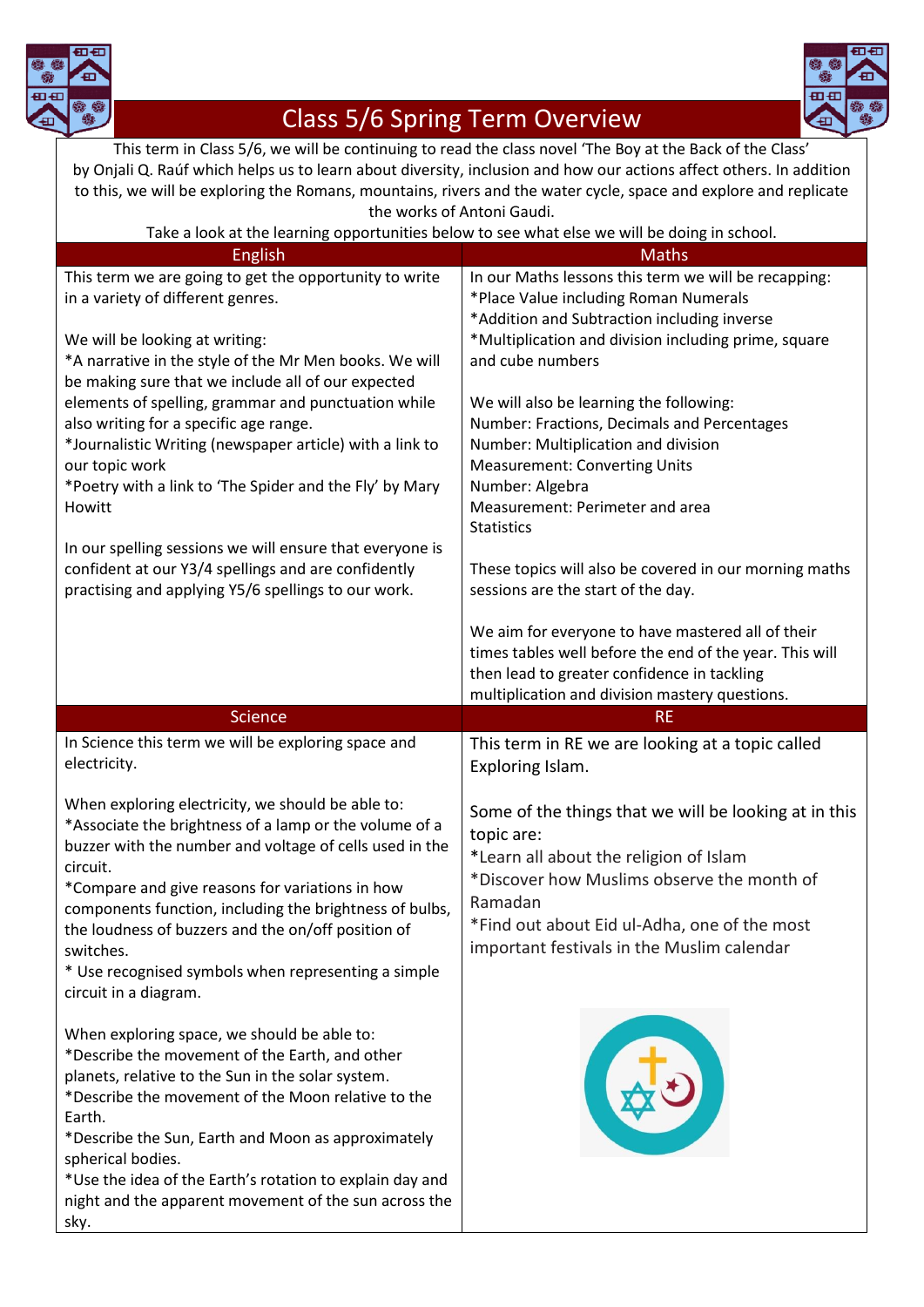



## Class 5/6 Spring Term Overview

This term in Class 5/6, we will be continuing to read the class novel 'The Boy at the Back of the Class' by Onjali Q. Raúf which helps us to learn about diversity, inclusion and how our actions affect others. In addition to this, we will be exploring the Romans, mountains, rivers and the water cycle, space and explore and replicate the works of Antoni Gaudi.

| Take a look at the learning opportunities below to see what else we will be doing in school.                                                                                                                                                                                                                                                                                                                                                        |                                                                                                                                                                                                                                                                                                               |
|-----------------------------------------------------------------------------------------------------------------------------------------------------------------------------------------------------------------------------------------------------------------------------------------------------------------------------------------------------------------------------------------------------------------------------------------------------|---------------------------------------------------------------------------------------------------------------------------------------------------------------------------------------------------------------------------------------------------------------------------------------------------------------|
| <b>English</b>                                                                                                                                                                                                                                                                                                                                                                                                                                      | <b>Maths</b>                                                                                                                                                                                                                                                                                                  |
| This term we are going to get the opportunity to write<br>in a variety of different genres.<br>We will be looking at writing:<br>*A narrative in the style of the Mr Men books. We will<br>be making sure that we include all of our expected<br>elements of spelling, grammar and punctuation while                                                                                                                                                | In our Maths lessons this term we will be recapping:<br>*Place Value including Roman Numerals<br>*Addition and Subtraction including inverse<br>*Multiplication and division including prime, square<br>and cube numbers<br>We will also be learning the following:                                           |
| also writing for a specific age range.<br>*Journalistic Writing (newspaper article) with a link to<br>our topic work<br>*Poetry with a link to 'The Spider and the Fly' by Mary<br>Howitt<br>In our spelling sessions we will ensure that everyone is                                                                                                                                                                                               | Number: Fractions, Decimals and Percentages<br>Number: Multiplication and division<br><b>Measurement: Converting Units</b><br>Number: Algebra<br>Measurement: Perimeter and area<br><b>Statistics</b>                                                                                                         |
| confident at our Y3/4 spellings and are confidently<br>practising and applying Y5/6 spellings to our work.                                                                                                                                                                                                                                                                                                                                          | These topics will also be covered in our morning maths<br>sessions are the start of the day.<br>We aim for everyone to have mastered all of their<br>times tables well before the end of the year. This will<br>then lead to greater confidence in tackling<br>multiplication and division mastery questions. |
|                                                                                                                                                                                                                                                                                                                                                                                                                                                     |                                                                                                                                                                                                                                                                                                               |
|                                                                                                                                                                                                                                                                                                                                                                                                                                                     |                                                                                                                                                                                                                                                                                                               |
| <b>Science</b><br>In Science this term we will be exploring space and<br>electricity.                                                                                                                                                                                                                                                                                                                                                               | <b>RE</b><br>This term in RE we are looking at a topic called<br>Exploring Islam.                                                                                                                                                                                                                             |
| When exploring electricity, we should be able to:<br>*Associate the brightness of a lamp or the volume of a<br>buzzer with the number and voltage of cells used in the<br>circuit.<br>*Compare and give reasons for variations in how<br>components function, including the brightness of bulbs,<br>the loudness of buzzers and the on/off position of<br>switches.<br>* Use recognised symbols when representing a simple<br>circuit in a diagram. | Some of the things that we will be looking at in this<br>topic are:<br>*Learn all about the religion of Islam<br>*Discover how Muslims observe the month of<br>Ramadan<br>*Find out about Eid ul-Adha, one of the most<br>important festivals in the Muslim calendar                                          |

night and the apparent movement of the sun across the sky.